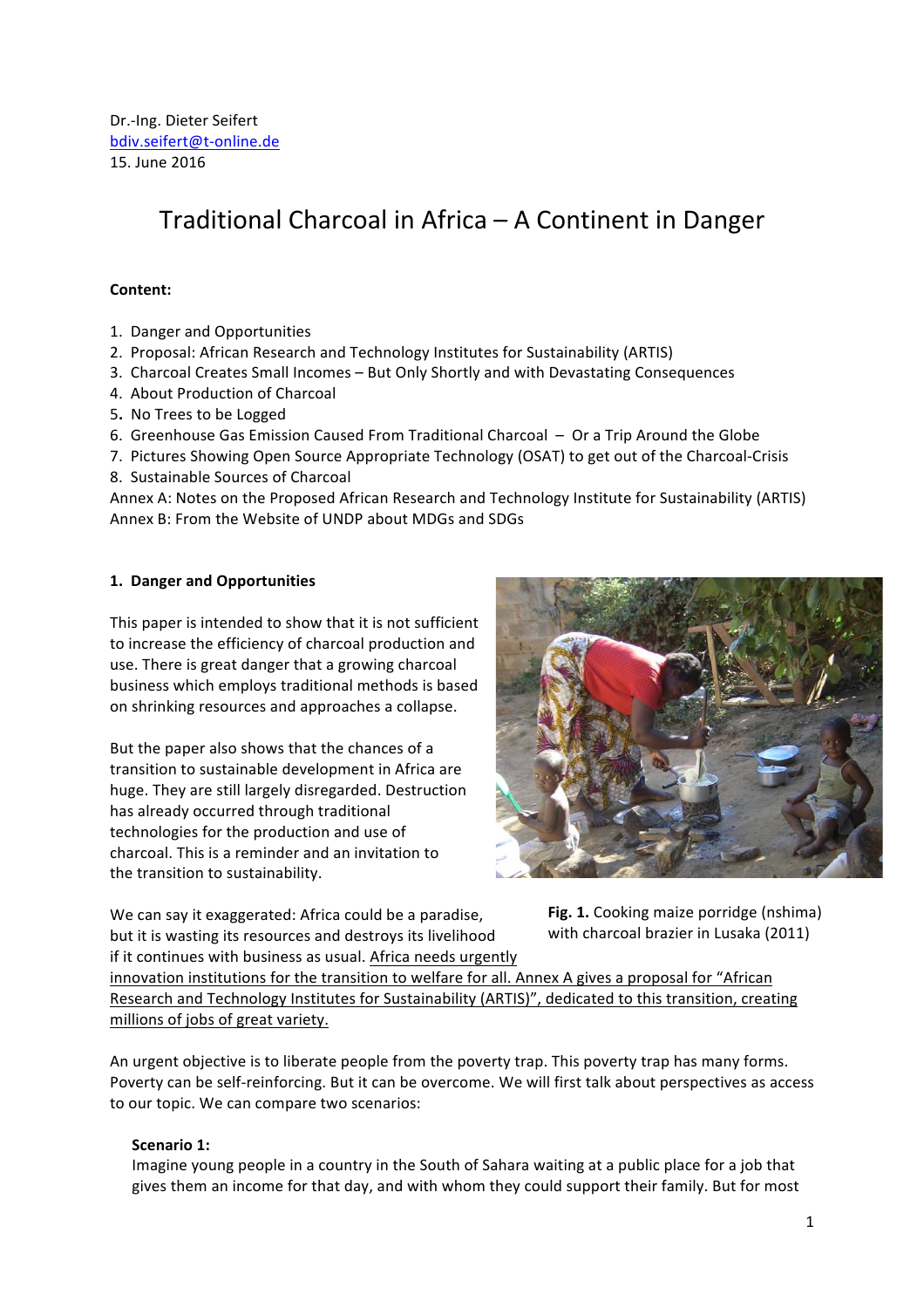# Traditional Charcoal in Africa – A Continent in Danger

#### **Content:**

- 1. Danger and Opportunities
- 2. Proposal: African Research and Technology Institutes for Sustainability (ARTIS)
- 3. Charcoal Creates Small Incomes But Only Shortly and with Devastating Consequences
- 4. About Production of Charcoal
- 5**.** No Trees to be Logged
- 6. Greenhouse Gas Emission Caused From Traditional Charcoal  $-$  Or a Trip Around the Globe
- 7. Pictures Showing Open Source Appropriate Technology (OSAT) to get out of the Charcoal-Crisis
- 8. Sustainable Sources of Charcoal

Annex A: Notes on the Proposed African Research and Technology Institute for Sustainability (ARTIS) Annex B: From the Website of UNDP about MDGs and SDGs

#### **1. Danger and Opportunities**

This paper is intended to show that it is not sufficient to increase the efficiency of charcoal production and use. There is great danger that a growing charcoal business which employs traditional methods is based on shrinking resources and approaches a collapse.

But the paper also shows that the chances of a transition to sustainable development in Africa are huge. They are still largely disregarded. Destruction has already occurred through traditional technologies for the production and use of charcoal. This is a reminder and an invitation to the transition to sustainability.

We can say it exaggerated: Africa could be a paradise, but it is wasting its resources and destroys its livelihood if it continues with business as usual. Africa needs urgently





innovation institutions for the transition to welfare for all. Annex A gives a proposal for "African Research and Technology Institutes for Sustainability (ARTIS)", dedicated to this transition, creating millions of jobs of great variety.

An urgent objective is to liberate people from the poverty trap. This poverty trap has many forms. Poverty can be self-reinforcing. But it can be overcome. We will first talk about perspectives as access to our topic. We can compare two scenarios:

## **Scenario 1:**

Imagine young people in a country in the South of Sahara waiting at a public place for a job that gives them an income for that day, and with whom they could support their family. But for most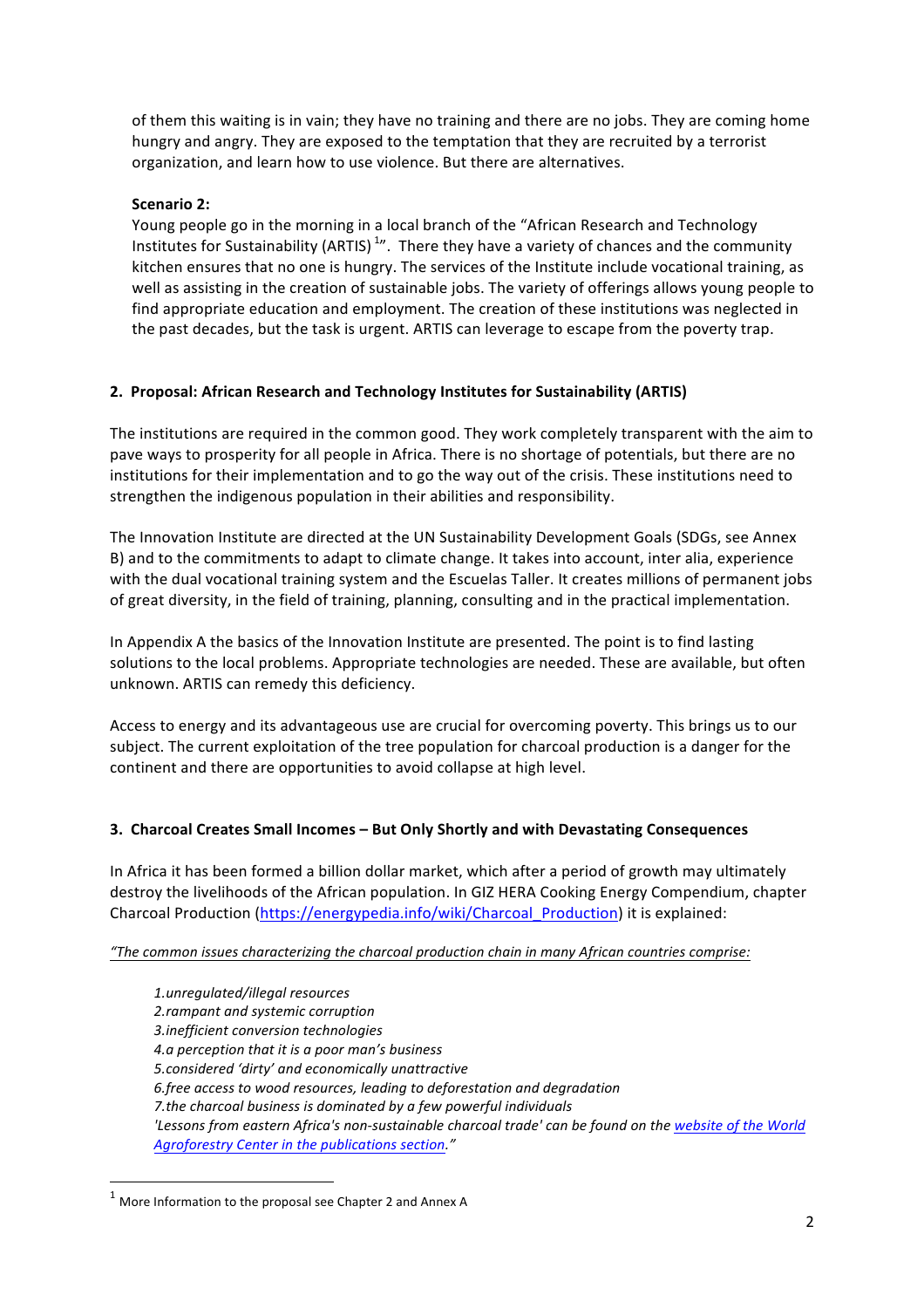of them this waiting is in vain; they have no training and there are no jobs. They are coming home hungry and angry. They are exposed to the temptation that they are recruited by a terrorist organization, and learn how to use violence. But there are alternatives.

## **Scenario 2:**

Young people go in the morning in a local branch of the "African Research and Technology Institutes for Sustainability (ARTIS)<sup>1</sup>". There they have a variety of chances and the community kitchen ensures that no one is hungry. The services of the Institute include vocational training, as well as assisting in the creation of sustainable jobs. The variety of offerings allows young people to find appropriate education and employment. The creation of these institutions was neglected in the past decades, but the task is urgent. ARTIS can leverage to escape from the poverty trap.

#### **2. Proposal: African Research and Technology Institutes for Sustainability (ARTIS)**

The institutions are required in the common good. They work completely transparent with the aim to pave ways to prosperity for all people in Africa. There is no shortage of potentials, but there are no institutions for their implementation and to go the way out of the crisis. These institutions need to strengthen the indigenous population in their abilities and responsibility.

The Innovation Institute are directed at the UN Sustainability Development Goals (SDGs, see Annex B) and to the commitments to adapt to climate change. It takes into account, inter alia, experience with the dual vocational training system and the Escuelas Taller. It creates millions of permanent jobs of great diversity, in the field of training, planning, consulting and in the practical implementation.

In Appendix A the basics of the Innovation Institute are presented. The point is to find lasting solutions to the local problems. Appropriate technologies are needed. These are available, but often unknown. ARTIS can remedy this deficiency.

Access to energy and its advantageous use are crucial for overcoming poverty. This brings us to our subject. The current exploitation of the tree population for charcoal production is a danger for the continent and there are opportunities to avoid collapse at high level.

## **3. Charcoal Creates Small Incomes – But Only Shortly and with Devastating Consequences**

In Africa it has been formed a billion dollar market, which after a period of growth may ultimately destroy the livelihoods of the African population. In GIZ HERA Cooking Energy Compendium, chapter Charcoal Production (https://energypedia.info/wiki/Charcoal\_Production) it is explained:

"The common issues characterizing the charcoal production chain in many African countries comprise:

*1.unregulated/illegal resources 2.rampant and systemic corruption 3.inefficient conversion technologies 4.a perception that it is a poor man's business 5.considered 'dirty' and economically unattractive 6.free access to wood resources, leading to deforestation and degradation 7.the charcoal business is dominated by a few powerful individuals* 'Lessons from eastern Africa's non-sustainable charcoal trade' can be found on the website of the World Agroforestry Center in the publications section."

<u> 1989 - Johann Stein, fransk politik (d. 1989)</u>

 $1$  More Information to the proposal see Chapter 2 and Annex A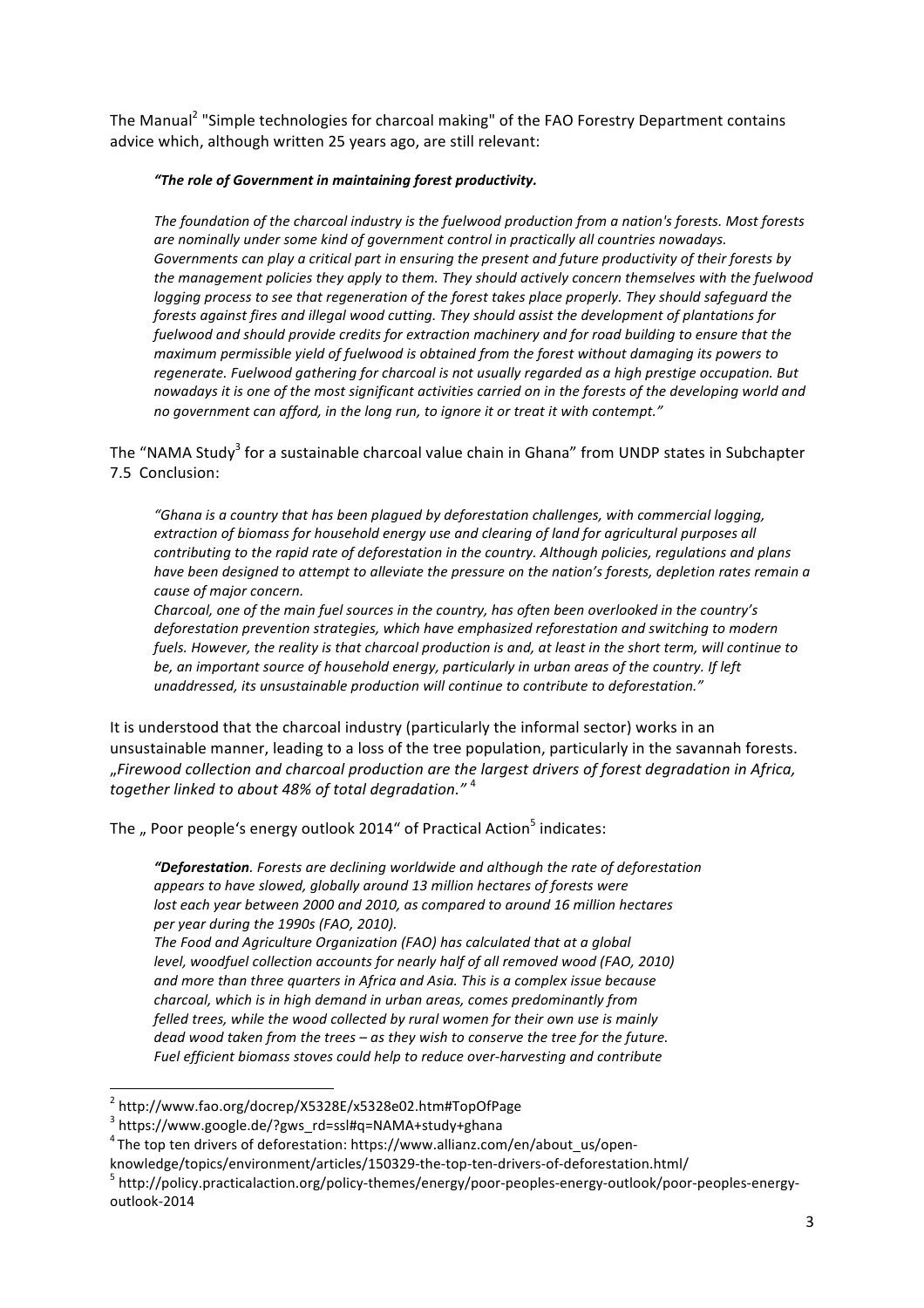The Manual<sup>2</sup> "Simple technologies for charcoal making" of the FAO Forestry Department contains advice which, although written 25 years ago, are still relevant:

#### "The role of Government in maintaining forest productivity.

The foundation of the charcoal industry is the fuelwood production from a nation's forests. Most forests are nominally under some kind of government control in practically all countries nowadays. Governments can play a critical part in ensuring the present and future productivity of their forests by the management policies they apply to them. They should actively concern themselves with the fuelwood *logging* process to see that regeneration of the forest takes place properly. They should safeguard the *forests against fires and illegal wood cutting. They should assist the development of plantations for* fuelwood and should provide credits for extraction machinery and for road building to ensure that the *maximum permissible yield of fuelwood is obtained from the forest without damaging its powers to* regenerate. Fuelwood gathering for charcoal is not usually regarded as a high prestige occupation. But nowadays it is one of the most significant activities carried on in the forests of the developing world and no government can afford, in the long run, to ignore it or treat it with contempt."

The "NAMA Study<sup>3</sup> for a sustainable charcoal value chain in Ghana" from UNDP states in Subchapter 7.5 Conclusion:

"Ghana is a country that has been plagued by deforestation challenges, with commercial logging, *extraction* of biomass for household energy use and clearing of land for agricultural purposes all *contributing to the rapid rate of deforestation in the country. Although policies, regulations and plans* have been designed to attempt to alleviate the pressure on the nation's forests, depletion rates remain a *cause of major concern.*

Charcoal, one of the main fuel sources in the country, has often been overlooked in the country's deforestation prevention strategies, which have emphasized reforestation and switching to modern *fuels. However, the reality is that charcoal production is and, at least in the short term, will continue to* be, an important source of household energy, particularly in urban areas of the country. If left *unaddressed, its unsustainable production will continue to contribute to deforestation."*

It is understood that the charcoal industry (particularly the informal sector) works in an unsustainable manner, leading to a loss of the tree population, particularly in the savannah forests. "*Firewood collection and charcoal production are the largest drivers of forest degradation in Africa,*  together linked to about 48% of total degradation."<sup>4</sup>

The  $\ldots$  Poor people's energy outlook 2014" of Practical Action<sup>5</sup> indicates:

*"Deforestation. Forests are declining worldwide and although the rate of deforestation* appears to have slowed, globally around 13 million hectares of forests were *lost each year between 2000 and 2010, as compared to around 16 million hectares per year during the 1990s (FAO, 2010).*

The Food and Agriculture Organization (FAO) has calculated that at a global *level, woodfuel collection accounts for nearly half of all removed wood (FAO, 2010)* and more than three quarters in Africa and Asia. This is a complex issue because charcoal, which is in high demand in urban areas, comes predominantly from felled trees, while the wood collected by rural women for their own use is mainly *dead* wood taken from the trees – as they wish to conserve the tree for the future. Fuel efficient biomass stoves could help to reduce over-harvesting and contribute

<u> 1989 - Johann Stein, fransk politik (d. 1989)</u>

<sup>2</sup> http://www.fao.org/docrep/X5328E/x5328e02.htm#TopOfPage

<sup>3</sup> https://www.google.de/?gws\_rd=ssl#q=NAMA+study+ghana

 $^4$ The top ten drivers of deforestation: https://www.allianz.com/en/about\_us/open-

knowledge/topics/environment/articles/150329-the-top-ten-drivers-of-deforestation.html/<br><sup>5</sup> http://policy.practicalaction.org/policy-themes/energy/poor-peoples-energy-outlook/poor-peoples-energyoutlook-2014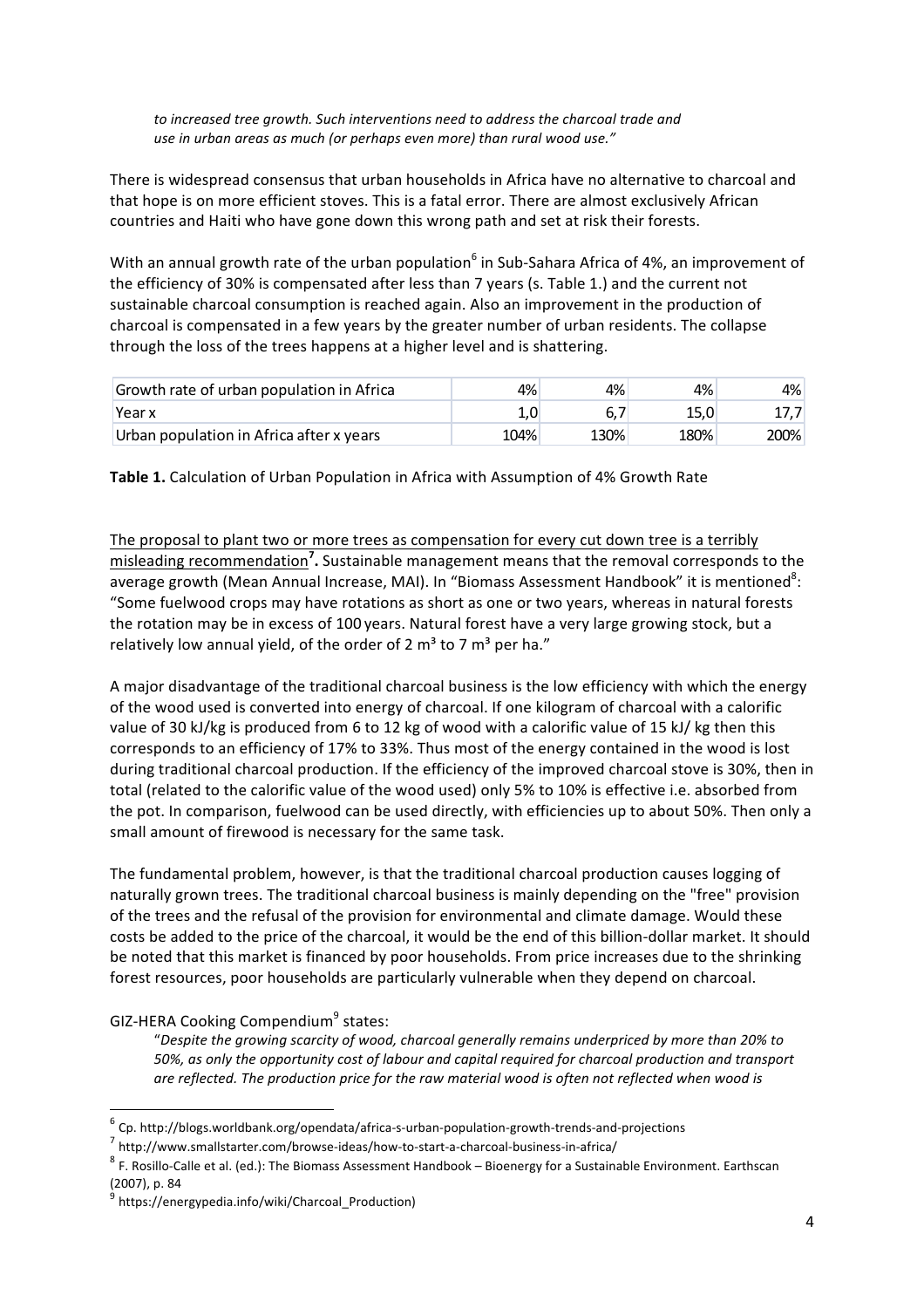to increased tree growth. Such interventions need to address the charcoal trade and use in urban areas as much (or perhaps even more) than rural wood use."

There is widespread consensus that urban households in Africa have no alternative to charcoal and that hope is on more efficient stoves. This is a fatal error. There are almost exclusively African countries and Haiti who have gone down this wrong path and set at risk their forests.

With an annual growth rate of the urban population<sup>6</sup> in Sub-Sahara Africa of 4%, an improvement of the efficiency of 30% is compensated after less than 7 years (s. Table 1.) and the current not sustainable charcoal consumption is reached again. Also an improvement in the production of charcoal is compensated in a few years by the greater number of urban residents. The collapse through the loss of the trees happens at a higher level and is shattering.

| Growth rate of urban population in Africa | 4%   | 4%   | 4%   | 4%    |
|-------------------------------------------|------|------|------|-------|
| Year x                                    |      |      |      | 17,7  |
| Urban population in Africa after x years  | 104% | 130% | 180% | 200%l |

**Table 1.** Calculation of Urban Population in Africa with Assumption of 4% Growth Rate

The proposal to plant two or more trees as compensation for every cut down tree is a terribly misleading recommendation<sup>7</sup>. Sustainable management means that the removal corresponds to the average growth (Mean Annual Increase, MAI). In "Biomass Assessment Handbook" it is mentioned<sup>8</sup>: "Some fuelwood crops may have rotations as short as one or two years, whereas in natural forests the rotation may be in excess of 100 years. Natural forest have a very large growing stock, but a relatively low annual yield, of the order of 2  $m<sup>3</sup>$  to 7  $m<sup>3</sup>$  per ha."

A major disadvantage of the traditional charcoal business is the low efficiency with which the energy of the wood used is converted into energy of charcoal. If one kilogram of charcoal with a calorific value of 30 kJ/kg is produced from 6 to 12 kg of wood with a calorific value of 15 kJ/ kg then this corresponds to an efficiency of 17% to 33%. Thus most of the energy contained in the wood is lost during traditional charcoal production. If the efficiency of the improved charcoal stove is 30%, then in total (related to the calorific value of the wood used) only 5% to 10% is effective i.e. absorbed from the pot. In comparison, fuelwood can be used directly, with efficiencies up to about 50%. Then only a small amount of firewood is necessary for the same task.

The fundamental problem, however, is that the traditional charcoal production causes logging of naturally grown trees. The traditional charcoal business is mainly depending on the "free" provision of the trees and the refusal of the provision for environmental and climate damage. Would these costs be added to the price of the charcoal, it would be the end of this billion-dollar market. It should be noted that this market is financed by poor households. From price increases due to the shrinking forest resources, poor households are particularly vulnerable when they depend on charcoal.

#### GIZ-HERA Cooking Compendium<sup>9</sup> states:

 

"Despite the growing scarcity of wood, charcoal generally remains underpriced by more than 20% to 50%, as only the opportunity cost of labour and capital required for charcoal production and transport are reflected. The production price for the raw material wood is often not reflected when wood is

 $6$  Cp. http://blogs.worldbank.org/opendata/africa-s-urban-population-growth-trends-and-projections

<sup>7</sup> http://www.smallstarter.com/browse-ideas/how-to-start-a-charcoal-business-in-africa/

 $8$  F. Rosillo-Calle et al. (ed.): The Biomass Assessment Handbook – Bioenergy for a Sustainable Environment. Earthscan (2007), p. 84

https://energypedia.info/wiki/Charcoal\_Production)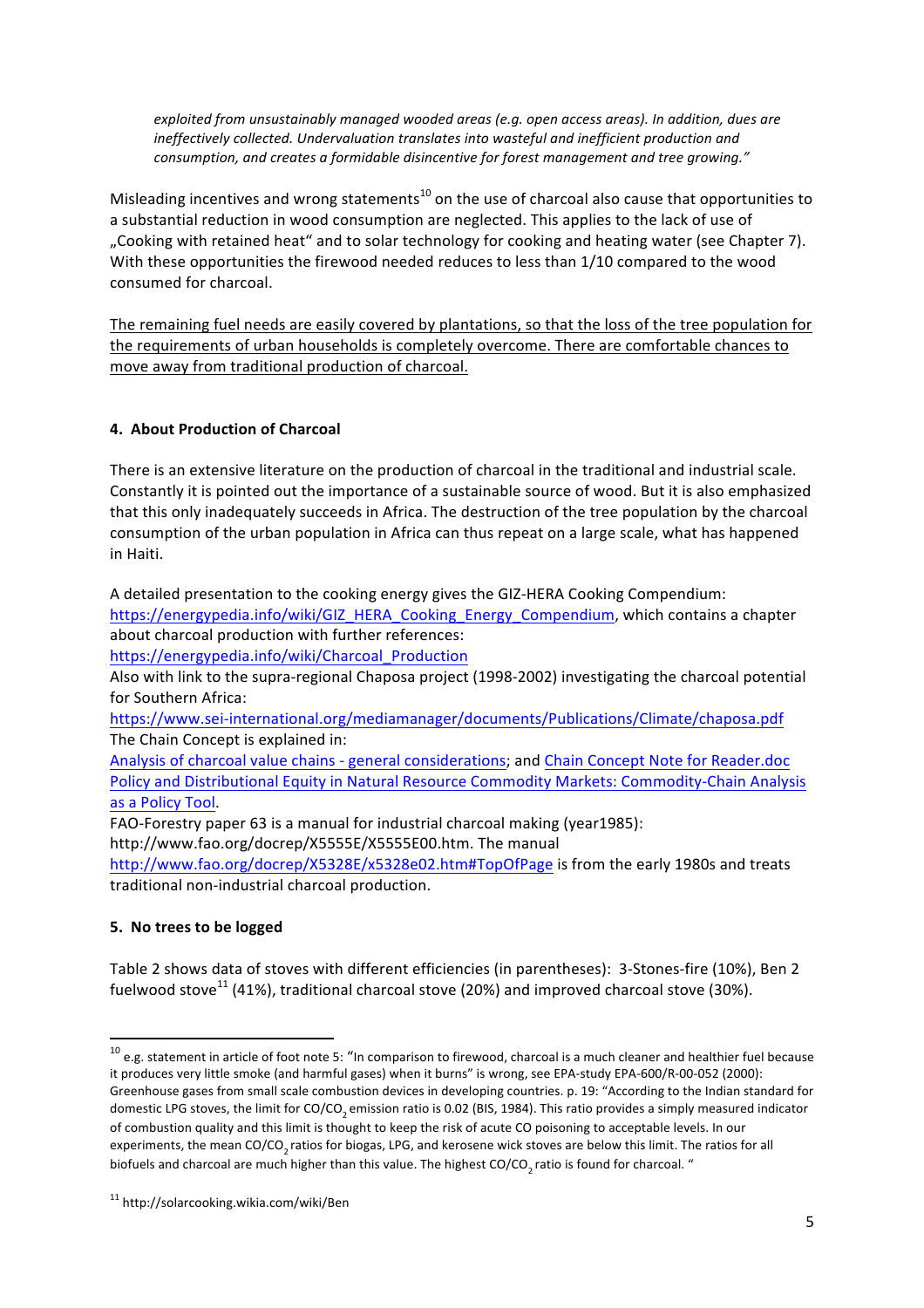exploited from unsustainably managed wooded areas (e.g. open access areas). In addition, dues are ineffectively collected. Undervaluation translates into wasteful and inefficient production and consumption, and creates a formidable disincentive for forest management and tree growing."

Misleading incentives and wrong statements<sup>10</sup> on the use of charcoal also cause that opportunities to a substantial reduction in wood consumption are neglected. This applies to the lack of use of "Cooking with retained heat" and to solar technology for cooking and heating water (see Chapter 7). With these opportunities the firewood needed reduces to less than 1/10 compared to the wood consumed for charcoal. 

The remaining fuel needs are easily covered by plantations, so that the loss of the tree population for the requirements of urban households is completely overcome. There are comfortable chances to move away from traditional production of charcoal.

## **4. About Production of Charcoal**

There is an extensive literature on the production of charcoal in the traditional and industrial scale. Constantly it is pointed out the importance of a sustainable source of wood. But it is also emphasized that this only inadequately succeeds in Africa. The destruction of the tree population by the charcoal consumption of the urban population in Africa can thus repeat on a large scale, what has happened in Haiti.

A detailed presentation to the cooking energy gives the GIZ-HERA Cooking Compendium: https://energypedia.info/wiki/GIZ\_HERA\_Cooking\_Energy\_Compendium, which contains a chapter about charcoal production with further references:

https://energypedia.info/wiki/Charcoal\_Production

Also with link to the supra-regional Chaposa project (1998-2002) investigating the charcoal potential for Southern Africa:

https://www.sei-international.org/mediamanager/documents/Publications/Climate/chaposa.pdf The Chain Concept is explained in:

Analysis of charcoal value chains - general considerations; and Chain Concept Note for Reader.doc Policy and Distributional Equity in Natural Resource Commodity Markets: Commodity-Chain Analysis as a Policy Tool.

FAO-Forestry paper 63 is a manual for industrial charcoal making (year1985):

http://www.fao.org/docrep/X5555E/X5555E00.htm. The manual

http://www.fao.org/docrep/X5328E/x5328e02.htm#TopOfPage is from the early 1980s and treats traditional non-industrial charcoal production.

## **5. No trees to be logged**

Table 2 shows data of stoves with different efficiencies (in parentheses): 3-Stones-fire (10%), Ben 2 fuelwood stove<sup>11</sup> (41%), traditional charcoal stove (20%) and improved charcoal stove (30%).

<u> 1989 - Johann Stein, fransk politik (d. 1989)</u>

 $10$  e.g. statement in article of foot note 5: "In comparison to firewood, charcoal is a much cleaner and healthier fuel because it produces very little smoke (and harmful gases) when it burns" is wrong, see EPA-study EPA-600/R-00-052 (2000): Greenhouse gases from small scale combustion devices in developing countries. p. 19: "According to the Indian standard for domestic LPG stoves, the limit for CO/CO<sub>2</sub> emission ratio is 0.02 (BIS, 1984). This ratio provides a simply measured indicator of combustion quality and this limit is thought to keep the risk of acute CO poisoning to acceptable levels. In our experiments, the mean CO/CO<sub>2</sub> ratios for biogas, LPG, and kerosene wick stoves are below this limit. The ratios for all biofuels and charcoal are much higher than this value. The highest CO/CO<sub>2</sub> ratio is found for charcoal. "

<sup>11</sup> http://solarcooking.wikia.com/wiki/Ben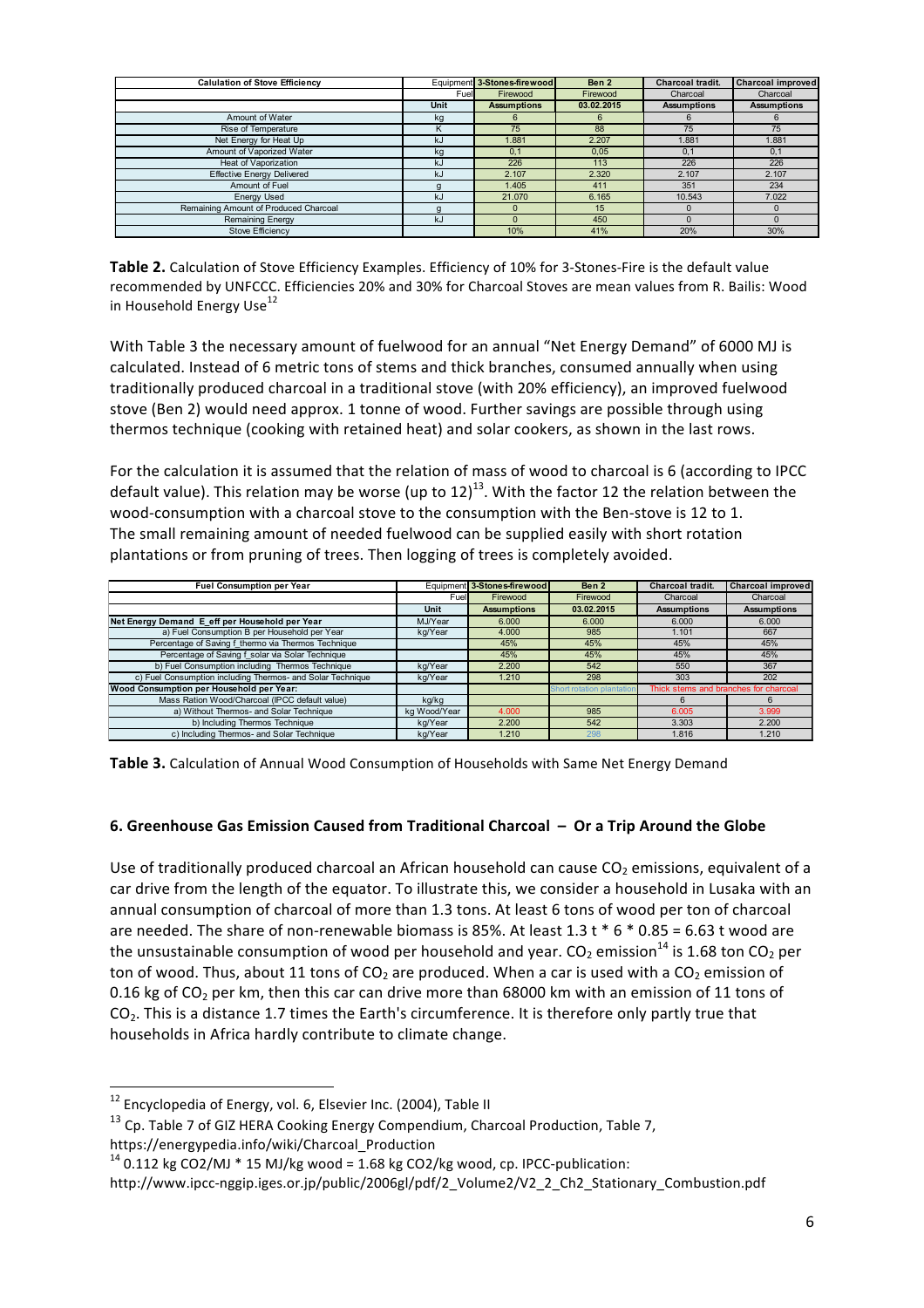| <b>Calulation of Stove Efficiency</b> |      | Equipment 3-Stones-firewood | Ben 2      | Charcoal tradit.   | <b>Charcoal improved</b> |
|---------------------------------------|------|-----------------------------|------------|--------------------|--------------------------|
|                                       | Fuel | Firewood                    | Firewood   | Charcoal           | Charcoal                 |
|                                       | Unit | <b>Assumptions</b>          | 03.02.2015 | <b>Assumptions</b> | <b>Assumptions</b>       |
| Amount of Water                       | kg   | 6                           | 6          |                    | 6                        |
| Rise of Temperature                   | K    | 75                          | 88         | 75                 | 75                       |
| Net Energy for Heat Up                | kJ   | 1.881                       | 2.207      | 1.881              | 1.881                    |
| Amount of Vaporized Water             | kg   | 0.1                         | 0.05       | 0.1                | 0.1                      |
| Heat of Vaporization                  | kJ   | 226                         | 113        | 226                | 226                      |
| <b>Effective Energy Delivered</b>     | k.l  | 2.107                       | 2.320      | 2.107              | 2.107                    |
| Amount of Fuel                        | q    | 1.405                       | 411        | 351                | 234                      |
| <b>Energy Used</b>                    | kJ   | 21,070                      | 6.165      | 10.543             | 7.022                    |
| Remaining Amount of Produced Charcoal | q    |                             | 15         |                    |                          |
| Remaining Energy                      | kJ   |                             | 450        |                    |                          |
| Stove Efficiency                      |      | 10%                         | 41%        | 20%                | 30%                      |

**Table 2.** Calculation of Stove Efficiency Examples. Efficiency of 10% for 3-Stones-Fire is the default value recommended by UNFCCC. Efficiencies 20% and 30% for Charcoal Stoves are mean values from R. Bailis: Wood in Household Energy Use<sup>12</sup>

With Table 3 the necessary amount of fuelwood for an annual "Net Energy Demand" of 6000 MJ is calculated. Instead of 6 metric tons of stems and thick branches, consumed annually when using traditionally produced charcoal in a traditional stove (with 20% efficiency), an improved fuelwood stove (Ben 2) would need approx. 1 tonne of wood. Further savings are possible through using thermos technique (cooking with retained heat) and solar cookers, as shown in the last rows.

For the calculation it is assumed that the relation of mass of wood to charcoal is 6 (according to IPCC) default value). This relation may be worse (up to  $12$ )<sup>13</sup>. With the factor 12 the relation between the wood-consumption with a charcoal stove to the consumption with the Ben-stove is 12 to 1. The small remaining amount of needed fuelwood can be supplied easily with short rotation plantations or from pruning of trees. Then logging of trees is completely avoided.

| <b>Fuel Consumption per Year</b>                           |              | Equipment 3-Stones-firewood | Ben 2                     | Charcoal tradit.                      | <b>Charcoal improved</b> |
|------------------------------------------------------------|--------------|-----------------------------|---------------------------|---------------------------------------|--------------------------|
|                                                            | Fuel         | Firewood                    | Firewood                  | Charcoal                              | Charcoal                 |
|                                                            | Unit         | <b>Assumptions</b>          | 03.02.2015                | <b>Assumptions</b>                    | <b>Assumptions</b>       |
| Net Energy Demand E eff per Household per Year             | MJ/Year      | 6.000                       | 6.000                     | 6.000                                 | 6.000                    |
| a) Fuel Consumption B per Household per Year               | kg/Year      | 4.000                       | 985                       | 1.101                                 | 667                      |
| Percentage of Saving f thermo via Thermos Technique        |              | 45%                         | 45%                       | 45%                                   | 45%                      |
| Percentage of Saving f solar via Solar Technique           |              | 45%                         | 45%                       | 45%                                   | 45%                      |
| b) Fuel Consumption including Thermos Technique            | kg/Year      | 2.200                       | 542                       | 550                                   | 367                      |
| c) Fuel Consumption including Thermos- and Solar Technique | kg/Year      | 1.210                       | 298                       | 303                                   | 202                      |
| Wood Consumption per Household per Year:                   |              |                             | Short rotation plantation | Thick stems and branches for charcoal |                          |
| Mass Ration Wood/Charcoal (IPCC default value)             | kg/kg        |                             |                           |                                       |                          |
| a) Without Thermos- and Solar Technique                    | kg Wood/Year | 4.000                       | 985                       | 6.005                                 | 3.999                    |
| b) Including Thermos Technique                             | kg/Year      | 2.200                       | 542                       | 3.303                                 | 2.200                    |
| c) Including Thermos- and Solar Technique                  | kg/Year      | 1.210                       | 298                       | 1.816                                 | 1.210                    |

**Table 3.** Calculation of Annual Wood Consumption of Households with Same Net Energy Demand

## 6. Greenhouse Gas Emission Caused from Traditional Charcoal - Or a Trip Around the Globe

Use of traditionally produced charcoal an African household can cause  $CO<sub>2</sub>$  emissions, equivalent of a car drive from the length of the equator. To illustrate this, we consider a household in Lusaka with an annual consumption of charcoal of more than 1.3 tons. At least 6 tons of wood per ton of charcoal are needed. The share of non-renewable biomass is 85%. At least  $1.3 \text{ t} * 6 * 0.85 = 6.63 \text{ t}$  wood are the unsustainable consumption of wood per household and year.  $CO_2$  emission<sup>14</sup> is 1.68 ton CO<sub>2</sub> per ton of wood. Thus, about 11 tons of  $CO<sub>2</sub>$  are produced. When a car is used with a  $CO<sub>2</sub>$  emission of 0.16 kg of  $CO<sub>2</sub>$  per km, then this car can drive more than 68000 km with an emission of 11 tons of CO<sub>2</sub>. This is a distance 1.7 times the Earth's circumference. It is therefore only partly true that households in Africa hardly contribute to climate change.

 

 $^{12}$  Encyclopedia of Energy, vol. 6, Elsevier Inc. (2004), Table II

 $^{13}$  Cp. Table 7 of GIZ HERA Cooking Energy Compendium, Charcoal Production, Table 7, https://energypedia.info/wiki/Charcoal\_Production

 $14$  0.112 kg CO2/MJ  $*$  15 MJ/kg wood = 1.68 kg CO2/kg wood, cp. IPCC-publication:

http://www.ipcc-nggip.iges.or.jp/public/2006gl/pdf/2\_Volume2/V2\_2\_Ch2\_Stationary\_Combustion.pdf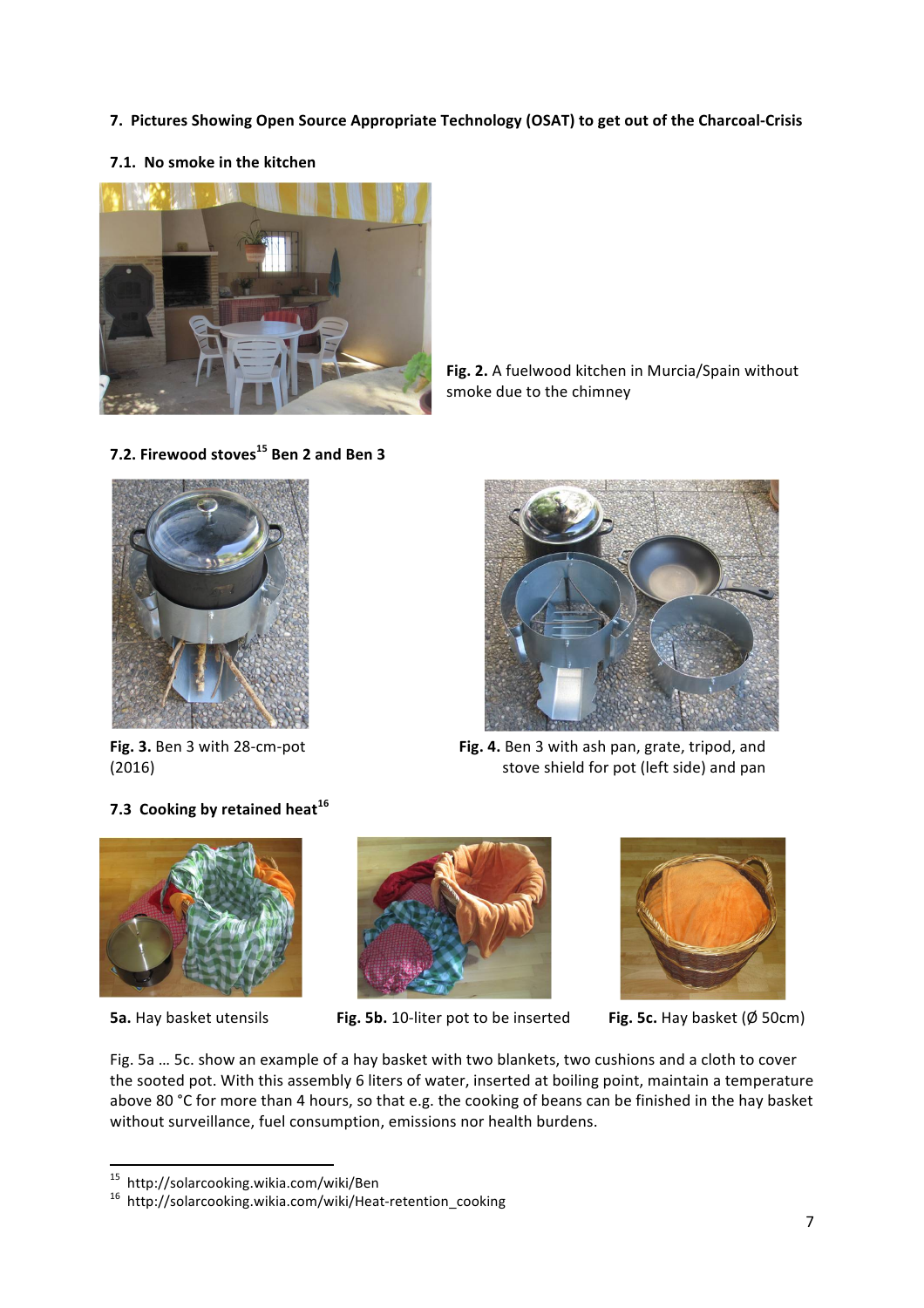- **7. Pictures Showing Open Source Appropriate Technology (OSAT) to get out of the Charcoal-Crisis**
- **7.1.** No smoke in the kitchen



Fig. 2. A fuelwood kitchen in Murcia/Spain without smoke due to the chimney

**7.2. Firewood stoves <sup>15</sup> Ben 2 and Ben 3**



Fig. 3. Ben 3 with 28-cm-pot **Fig. 4.** Ben 3 with ash pan, grate, tripod, and (2016) **Subject 2016** (2016) **Subject 2016** (2016) **Stove shield for pot (left side) and pan** 

## **7.3 Cooking by retained heat**<sup>16</sup>





**5a.** Hay basket utensils **Fig. 5b.** 10-liter pot to be inserted **Fig. 5c.** Hay basket (Ø 50cm)



Fig. 5a ... 5c. show an example of a hay basket with two blankets, two cushions and a cloth to cover the sooted pot. With this assembly 6 liters of water, inserted at boiling point, maintain a temperature above 80 °C for more than 4 hours, so that e.g. the cooking of beans can be finished in the hay basket without surveillance, fuel consumption, emissions nor health burdens.

 $^{15}$ http://solarcooking.wikia.com/wiki/Ben

<sup>15</sup> http://solarcooking.wikia.com/wiki/Ben <sup>16</sup> http://solarcooking.wikia.com/wiki/Heat-retention\_cooking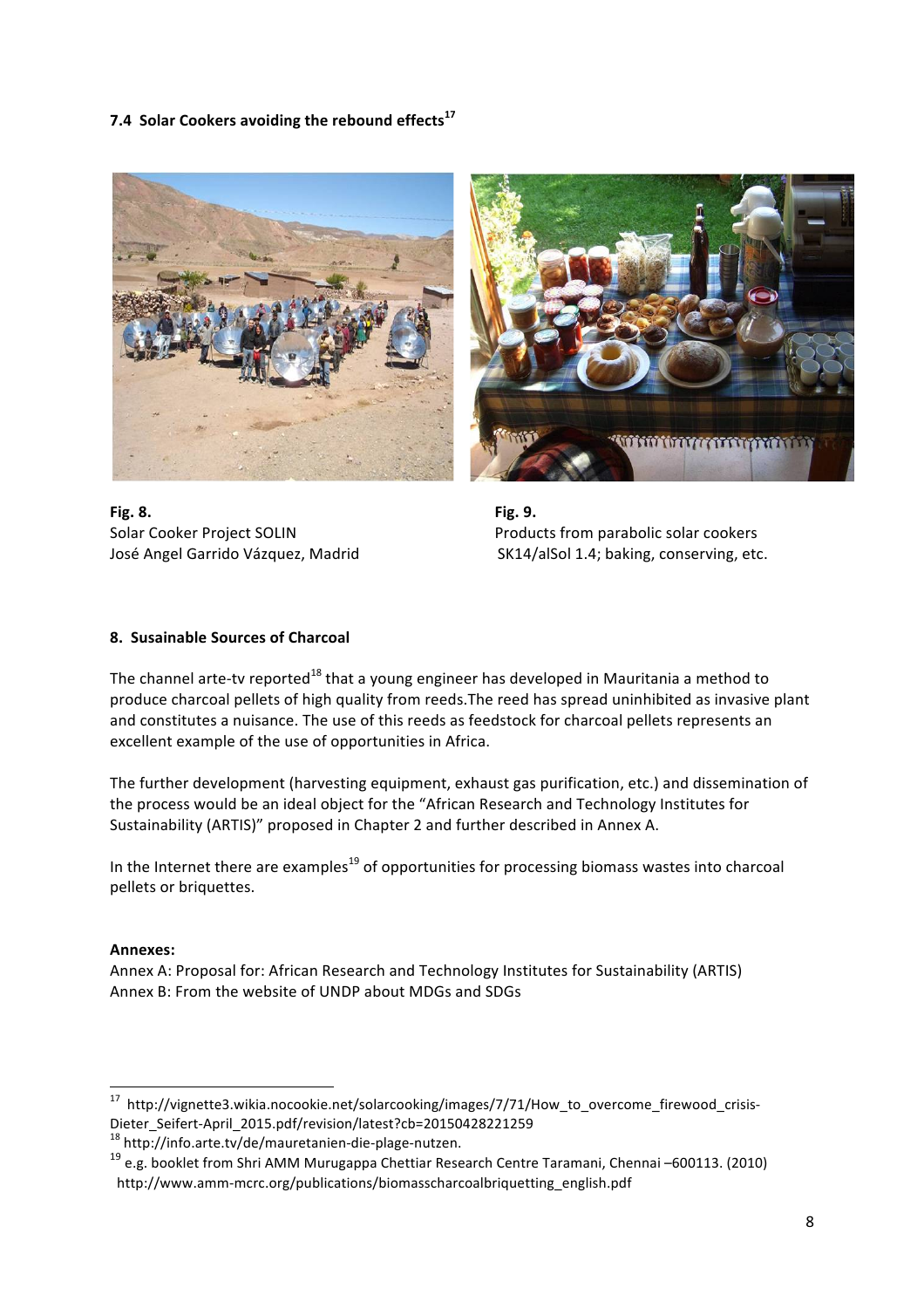7.4 Solar Cookers avoiding the rebound effects<sup>17</sup>



**Fig. 8. Fig. 9. Fig. 9.** 



Solar Cooker Project SOLIN **Products** from parabolic solar cookers José Angel Garrido Vázquez, Madrid **Angles** SK14/alSol 1.4; baking, conserving, etc.

#### **8. Susainable Sources of Charcoal**

The channel arte-tv reported<sup>18</sup> that a young engineer has developed in Mauritania a method to produce charcoal pellets of high quality from reeds. The reed has spread uninhibited as invasive plant and constitutes a nuisance. The use of this reeds as feedstock for charcoal pellets represents an excellent example of the use of opportunities in Africa.

The further development (harvesting equipment, exhaust gas purification, etc.) and dissemination of the process would be an ideal object for the "African Research and Technology Institutes for Sustainability (ARTIS)" proposed in Chapter 2 and further described in Annex A.

In the Internet there are examples<sup>19</sup> of opportunities for processing biomass wastes into charcoal pellets or briquettes.

#### **Annexes:**

Annex A: Proposal for: African Research and Technology Institutes for Sustainability (ARTIS) Annex B: From the website of UNDP about MDGs and SDGs

 

<sup>&</sup>lt;sup>17</sup> http://vignette3.wikia.nocookie.net/solarcooking/images/7/71/How\_to\_overcome\_firewood\_crisis-Dieter\_Seifert-April\_2015.pdf/revision/latest?cb=20150428221259 <sup>18</sup> http://info.arte.tv/de/mauretanien-die-plage-nutzen.

<sup>&</sup>lt;sup>19</sup> e.g. booklet from Shri AMM Murugappa Chettiar Research Centre Taramani, Chennai –600113. (2010) http://www.amm-mcrc.org/publications/biomasscharcoalbriquetting\_english.pdf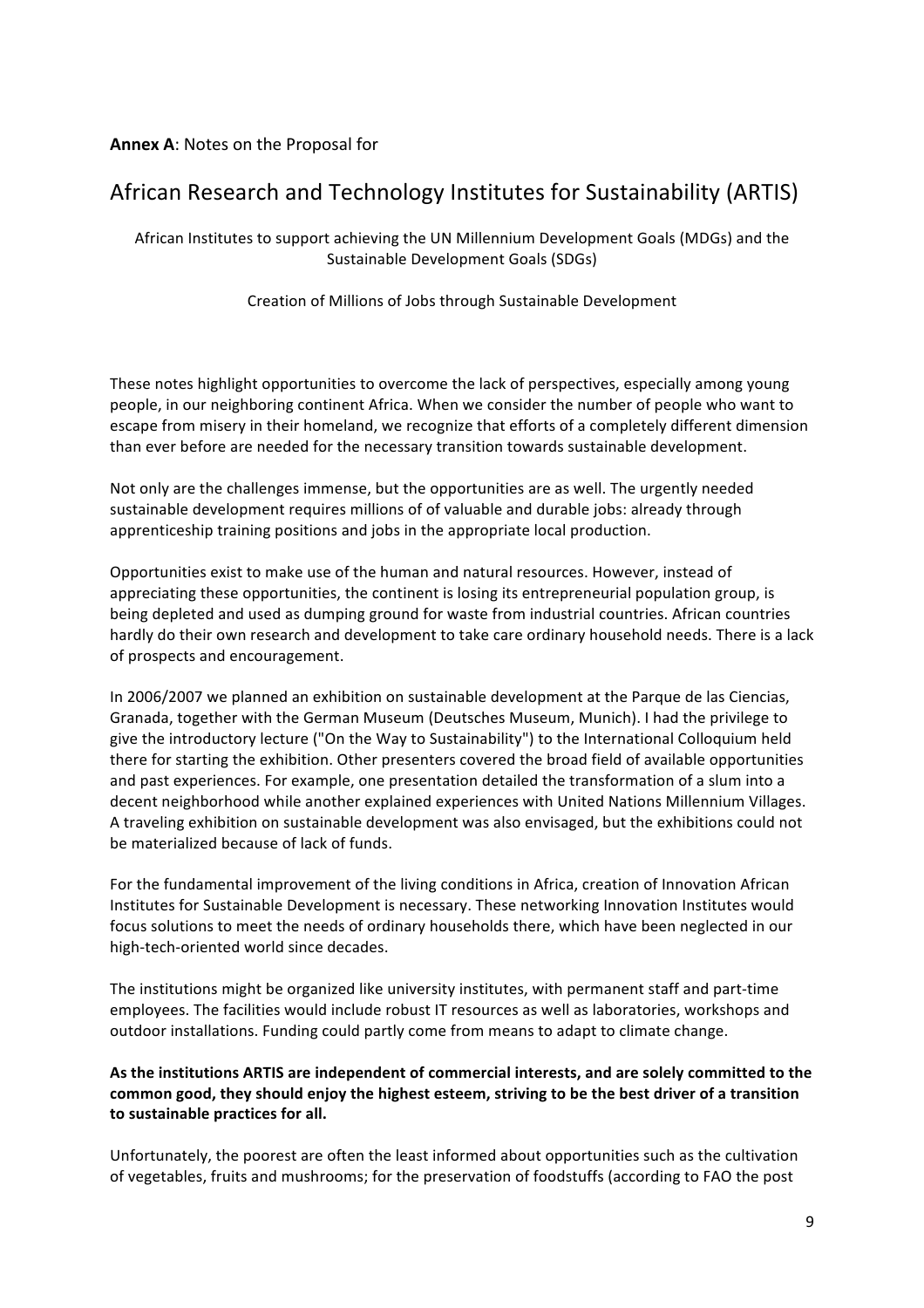#### **Annex A: Notes on the Proposal for**

# African Research and Technology Institutes for Sustainability (ARTIS)

African Institutes to support achieving the UN Millennium Development Goals (MDGs) and the Sustainable Development Goals (SDGs)

Creation of Millions of Jobs through Sustainable Development

These notes highlight opportunities to overcome the lack of perspectives, especially among young people, in our neighboring continent Africa. When we consider the number of people who want to escape from misery in their homeland, we recognize that efforts of a completely different dimension than ever before are needed for the necessary transition towards sustainable development.

Not only are the challenges immense, but the opportunities are as well. The urgently needed sustainable development requires millions of of valuable and durable jobs: already through apprenticeship training positions and jobs in the appropriate local production.

Opportunities exist to make use of the human and natural resources. However, instead of appreciating these opportunities, the continent is losing its entrepreneurial population group, is being depleted and used as dumping ground for waste from industrial countries. African countries hardly do their own research and development to take care ordinary household needs. There is a lack of prospects and encouragement.

In 2006/2007 we planned an exhibition on sustainable development at the Parque de las Ciencias, Granada, together with the German Museum (Deutsches Museum, Munich). I had the privilege to give the introductory lecture ("On the Way to Sustainability") to the International Colloquium held there for starting the exhibition. Other presenters covered the broad field of available opportunities and past experiences. For example, one presentation detailed the transformation of a slum into a decent neighborhood while another explained experiences with United Nations Millennium Villages. A traveling exhibition on sustainable development was also envisaged, but the exhibitions could not be materialized because of lack of funds.

For the fundamental improvement of the living conditions in Africa, creation of Innovation African Institutes for Sustainable Development is necessary. These networking Innovation Institutes would focus solutions to meet the needs of ordinary households there, which have been neglected in our high-tech-oriented world since decades.

The institutions might be organized like university institutes, with permanent staff and part-time employees. The facilities would include robust IT resources as well as laboratories, workshops and outdoor installations. Funding could partly come from means to adapt to climate change.

As the institutions ARTIS are independent of commercial interests, and are solely committed to the common good, they should enjoy the highest esteem, striving to be the best driver of a transition to sustainable practices for all.

Unfortunately, the poorest are often the least informed about opportunities such as the cultivation of vegetables, fruits and mushrooms; for the preservation of foodstuffs (according to FAO the post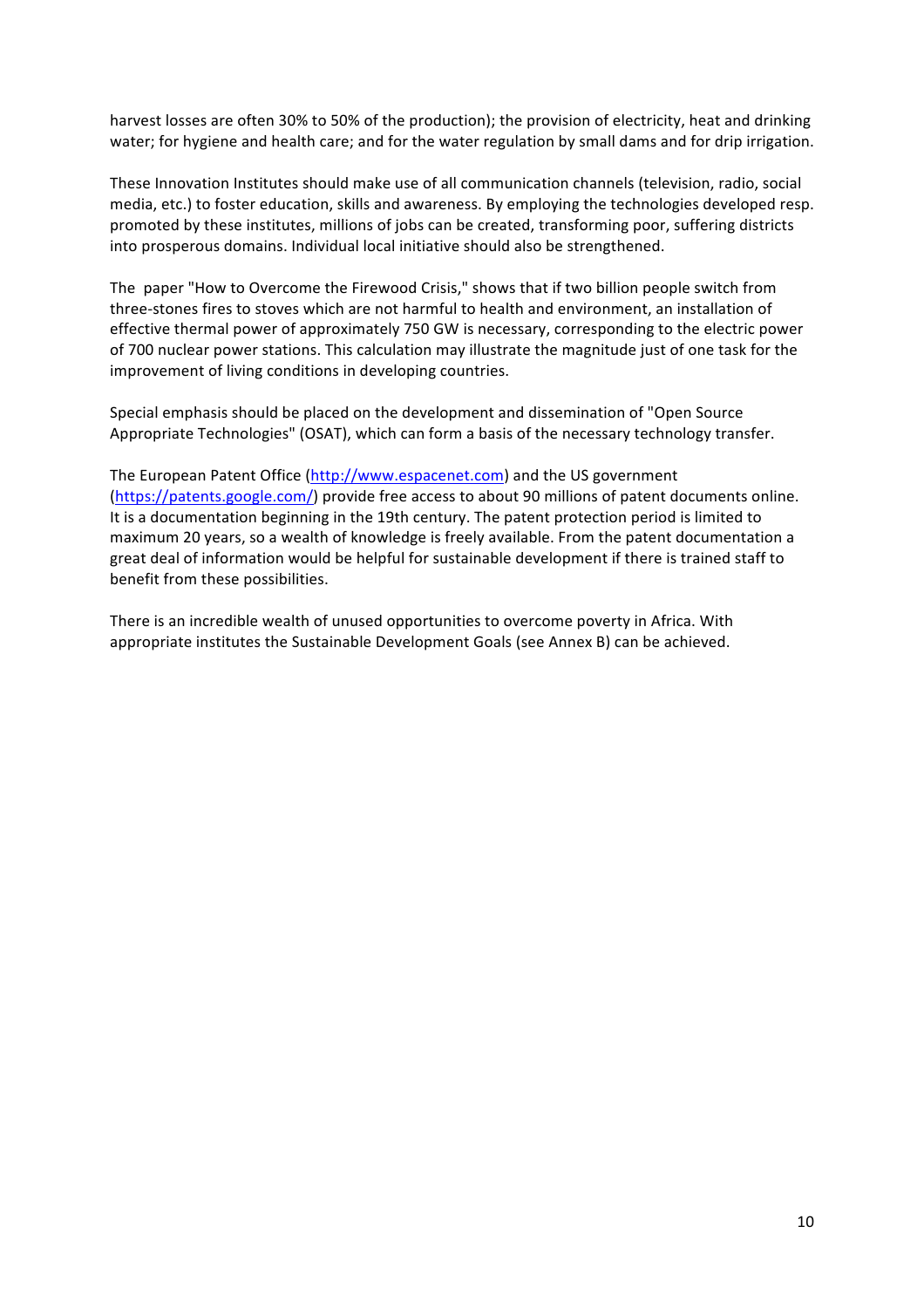harvest losses are often 30% to 50% of the production); the provision of electricity, heat and drinking water; for hygiene and health care; and for the water regulation by small dams and for drip irrigation.

These Innovation Institutes should make use of all communication channels (television, radio, social media, etc.) to foster education, skills and awareness. By employing the technologies developed resp. promoted by these institutes, millions of jobs can be created, transforming poor, suffering districts into prosperous domains. Individual local initiative should also be strengthened.

The paper "How to Overcome the Firewood Crisis," shows that if two billion people switch from three-stones fires to stoves which are not harmful to health and environment, an installation of effective thermal power of approximately 750 GW is necessary, corresponding to the electric power of 700 nuclear power stations. This calculation may illustrate the magnitude just of one task for the improvement of living conditions in developing countries.

Special emphasis should be placed on the development and dissemination of "Open Source Appropriate Technologies" (OSAT), which can form a basis of the necessary technology transfer.

The European Patent Office (http://www.espacenet.com) and the US government (https://patents.google.com/) provide free access to about 90 millions of patent documents online. It is a documentation beginning in the 19th century. The patent protection period is limited to maximum 20 years, so a wealth of knowledge is freely available. From the patent documentation a great deal of information would be helpful for sustainable development if there is trained staff to benefit from these possibilities.

There is an incredible wealth of unused opportunities to overcome poverty in Africa. With appropriate institutes the Sustainable Development Goals (see Annex B) can be achieved.